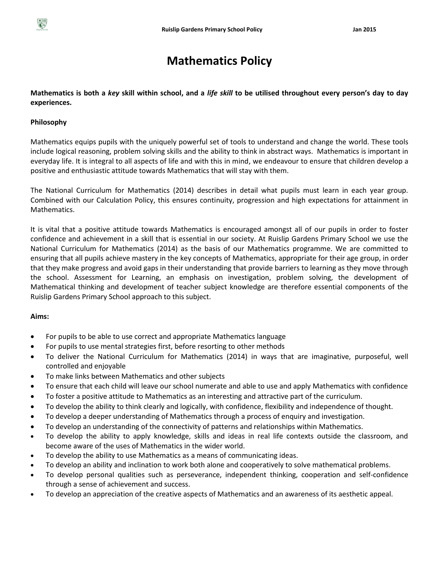# **Mathematics Policy**

**Mathematics is both a** *key* **skill within school, and a** *life skill* **to be utilised throughout every person's day to day experiences.**

## **Philosophy**

Mathematics equips pupils with the uniquely powerful set of tools to understand and change the world. These tools include logical reasoning, problem solving skills and the ability to think in abstract ways. Mathematics is important in everyday life. It is integral to all aspects of life and with this in mind, we endeavour to ensure that children develop a positive and enthusiastic attitude towards Mathematics that will stay with them.

The National Curriculum for Mathematics (2014) describes in detail what pupils must learn in each year group. Combined with our Calculation Policy, this ensures continuity, progression and high expectations for attainment in Mathematics.

It is vital that a positive attitude towards Mathematics is encouraged amongst all of our pupils in order to foster confidence and achievement in a skill that is essential in our society. At Ruislip Gardens Primary School we use the National Curriculum for Mathematics (2014) as the basis of our Mathematics programme. We are committed to ensuring that all pupils achieve mastery in the key concepts of Mathematics, appropriate for their age group, in order that they make progress and avoid gaps in their understanding that provide barriers to learning as they move through the school. Assessment for Learning, an emphasis on investigation, problem solving, the development of Mathematical thinking and development of teacher subject knowledge are therefore essential components of the Ruislip Gardens Primary School approach to this subject.

### **Aims:**

- For pupils to be able to use correct and appropriate Mathematics language
- For pupils to use mental strategies first, before resorting to other methods
- To deliver the National Curriculum for Mathematics (2014) in ways that are imaginative, purposeful, well controlled and enjoyable
- To make links between Mathematics and other subjects
- To ensure that each child will leave our school numerate and able to use and apply Mathematics with confidence
- To foster a positive attitude to Mathematics as an interesting and attractive part of the curriculum.
- To develop the ability to think clearly and logically, with confidence, flexibility and independence of thought.
- To develop a deeper understanding of Mathematics through a process of enquiry and investigation.
- To develop an understanding of the connectivity of patterns and relationships within Mathematics.
- To develop the ability to apply knowledge, skills and ideas in real life contexts outside the classroom, and become aware of the uses of Mathematics in the wider world.
- To develop the ability to use Mathematics as a means of communicating ideas.
- To develop an ability and inclination to work both alone and cooperatively to solve mathematical problems.
- To develop personal qualities such as perseverance, independent thinking, cooperation and self-confidence through a sense of achievement and success.
- To develop an appreciation of the creative aspects of Mathematics and an awareness of its aesthetic appeal.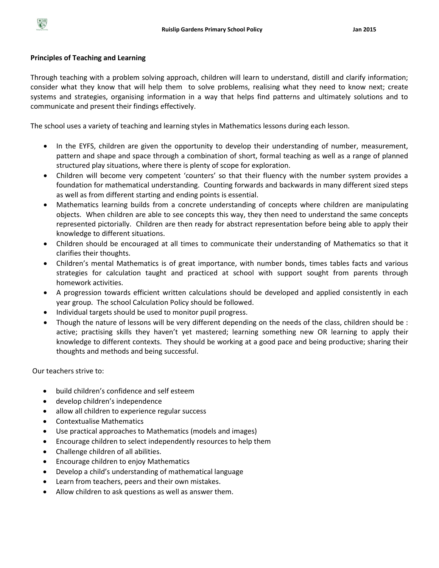

## **Principles of Teaching and Learning**

Through teaching with a problem solving approach, children will learn to understand, distill and clarify information; consider what they know that will help them to solve problems, realising what they need to know next; create systems and strategies, organising information in a way that helps find patterns and ultimately solutions and to communicate and present their findings effectively.

The school uses a variety of teaching and learning styles in Mathematics lessons during each lesson.

- In the EYFS, children are given the opportunity to develop their understanding of number, measurement, pattern and shape and space through a combination of short, formal teaching as well as a range of planned structured play situations, where there is plenty of scope for exploration.
- Children will become very competent 'counters' so that their fluency with the number system provides a foundation for mathematical understanding. Counting forwards and backwards in many different sized steps as well as from different starting and ending points is essential.
- Mathematics learning builds from a concrete understanding of concepts where children are manipulating objects. When children are able to see concepts this way, they then need to understand the same concepts represented pictorially. Children are then ready for abstract representation before being able to apply their knowledge to different situations.
- Children should be encouraged at all times to communicate their understanding of Mathematics so that it clarifies their thoughts.
- Children's mental Mathematics is of great importance, with number bonds, times tables facts and various strategies for calculation taught and practiced at school with support sought from parents through homework activities.
- A progression towards efficient written calculations should be developed and applied consistently in each year group. The school Calculation Policy should be followed.
- Individual targets should be used to monitor pupil progress.
- Though the nature of lessons will be very different depending on the needs of the class, children should be : active; practising skills they haven't yet mastered; learning something new OR learning to apply their knowledge to different contexts. They should be working at a good pace and being productive; sharing their thoughts and methods and being successful.

Our teachers strive to:

- build children's confidence and self esteem
- develop children's independence
- allow all children to experience regular success
- Contextualise Mathematics
- Use practical approaches to Mathematics (models and images)
- Encourage children to select independently resources to help them
- Challenge children of all abilities.
- Encourage children to enjoy Mathematics
- Develop a child's understanding of mathematical language
- Learn from teachers, peers and their own mistakes.
- Allow children to ask questions as well as answer them.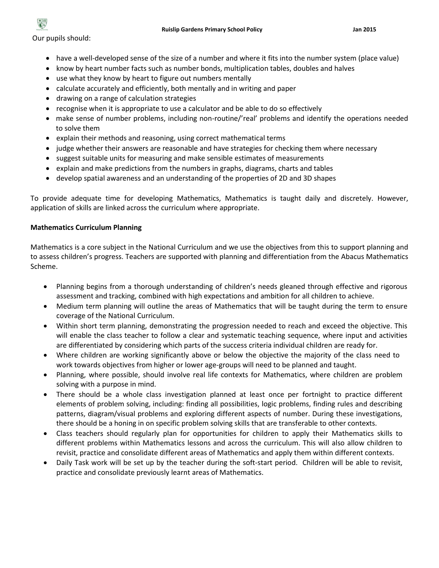

Our pupils should:

- have a well-developed sense of the size of a number and where it fits into the number system (place value)
- know by heart number facts such as number bonds, multiplication tables, doubles and halves
- use what they know by heart to figure out numbers mentally
- calculate accurately and efficiently, both mentally and in writing and paper
- drawing on a range of calculation strategies
- recognise when it is appropriate to use a calculator and be able to do so effectively
- make sense of number problems, including non-routine/'real' problems and identify the operations needed to solve them
- explain their methods and reasoning, using correct mathematical terms
- judge whether their answers are reasonable and have strategies for checking them where necessary
- suggest suitable units for measuring and make sensible estimates of measurements
- explain and make predictions from the numbers in graphs, diagrams, charts and tables
- develop spatial awareness and an understanding of the properties of 2D and 3D shapes

To provide adequate time for developing Mathematics, Mathematics is taught daily and discretely. However, application of skills are linked across the curriculum where appropriate.

### **Mathematics Curriculum Planning**

Mathematics is a core subject in the National Curriculum and we use the objectives from this to support planning and to assess children's progress. Teachers are supported with planning and differentiation from the Abacus Mathematics Scheme.

- Planning begins from a thorough understanding of children's needs gleaned through effective and rigorous assessment and tracking, combined with high expectations and ambition for all children to achieve.
- Medium term planning will outline the areas of Mathematics that will be taught during the term to ensure coverage of the National Curriculum.
- Within short term planning, demonstrating the progression needed to reach and exceed the objective. This will enable the class teacher to follow a clear and systematic teaching sequence, where input and activities are differentiated by considering which parts of the success criteria individual children are ready for.
- Where children are working significantly above or below the objective the majority of the class need to work towards objectives from higher or lower age-groups will need to be planned and taught.
- Planning, where possible, should involve real life contexts for Mathematics, where children are problem solving with a purpose in mind.
- There should be a whole class investigation planned at least once per fortnight to practice different elements of problem solving, including: finding all possibilities, logic problems, finding rules and describing patterns, diagram/visual problems and exploring different aspects of number. During these investigations, there should be a honing in on specific problem solving skills that are transferable to other contexts.
- Class teachers should regularly plan for opportunities for children to apply their Mathematics skills to different problems within Mathematics lessons and across the curriculum. This will also allow children to revisit, practice and consolidate different areas of Mathematics and apply them within different contexts.
- Daily Task work will be set up by the teacher during the soft-start period. Children will be able to revisit, practice and consolidate previously learnt areas of Mathematics.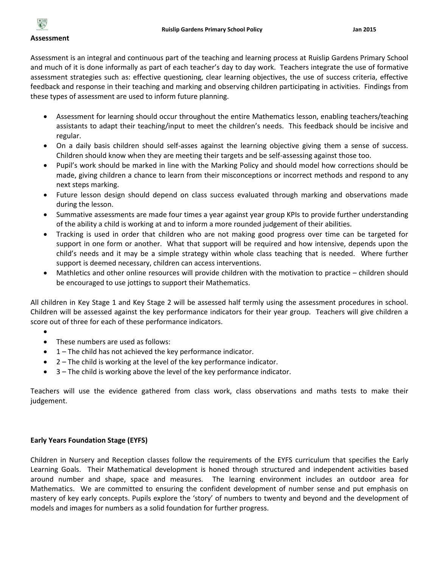

#### **Assessment**

Assessment is an integral and continuous part of the teaching and learning process at Ruislip Gardens Primary School and much of it is done informally as part of each teacher's day to day work. Teachers integrate the use of formative assessment strategies such as: effective questioning, clear learning objectives, the use of success criteria, effective feedback and response in their teaching and marking and observing children participating in activities. Findings from these types of assessment are used to inform future planning.

- Assessment for learning should occur throughout the entire Mathematics lesson, enabling teachers/teaching assistants to adapt their teaching/input to meet the children's needs. This feedback should be incisive and regular.
- On a daily basis children should self-asses against the learning objective giving them a sense of success. Children should know when they are meeting their targets and be self-assessing against those too.
- Pupil's work should be marked in line with the Marking Policy and should model how corrections should be made, giving children a chance to learn from their misconceptions or incorrect methods and respond to any next steps marking.
- Future lesson design should depend on class success evaluated through marking and observations made during the lesson.
- Summative assessments are made four times a year against year group KPIs to provide further understanding of the ability a child is working at and to inform a more rounded judgement of their abilities.
- Tracking is used in order that children who are not making good progress over time can be targeted for support in one form or another. What that support will be required and how intensive, depends upon the child's needs and it may be a simple strategy within whole class teaching that is needed. Where further support is deemed necessary, children can access interventions.
- Mathletics and other online resources will provide children with the motivation to practice children should be encouraged to use jottings to support their Mathematics.

All children in Key Stage 1 and Key Stage 2 will be assessed half termly using the assessment procedures in school. Children will be assessed against the key performance indicators for their year group. Teachers will give children a score out of three for each of these performance indicators.

- $\bullet$
- These numbers are used as follows:
- $\bullet$  1 The child has not achieved the key performance indicator.
- 2 The child is working at the level of the key performance indicator.
- 3 The child is working above the level of the key performance indicator.

Teachers will use the evidence gathered from class work, class observations and maths tests to make their judgement.

### **Early Years Foundation Stage (EYFS)**

Children in Nursery and Reception classes follow the requirements of the EYFS curriculum that specifies the Early Learning Goals. Their Mathematical development is honed through structured and independent activities based around number and shape, space and measures. The learning environment includes an outdoor area for Mathematics. We are committed to ensuring the confident development of number sense and put emphasis on mastery of key early concepts. Pupils explore the 'story' of numbers to twenty and beyond and the development of models and images for numbers as a solid foundation for further progress.